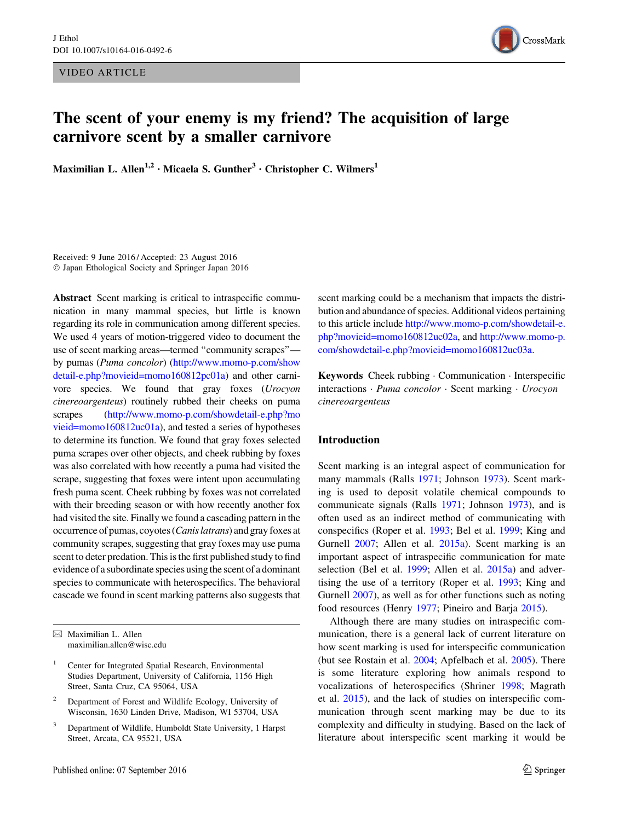VIDEO ARTICLE



# The scent of your enemy is my friend? The acquisition of large carnivore scent by a smaller carnivore

Maximilian L. Allen<sup>1,2</sup> · Micaela S. Gunther<sup>3</sup> · Christopher C. Wilmers<sup>1</sup>

Received: 9 June 2016 / Accepted: 23 August 2016 - Japan Ethological Society and Springer Japan 2016

Abstract Scent marking is critical to intraspecific communication in many mammal species, but little is known regarding its role in communication among different species. We used 4 years of motion-triggered video to document the use of scent marking areas—termed ''community scrapes'' by pumas (Puma concolor) ([http://www.momo-p.com/show](http://www.momo-p.com/showdetail-e.php%3fmovieid%3dmomo160812pc01a) [detail-e.php?movieid=momo160812pc01a\)](http://www.momo-p.com/showdetail-e.php%3fmovieid%3dmomo160812pc01a) and other carnivore species. We found that gray foxes (Urocyon cinereoargenteus) routinely rubbed their cheeks on puma scrapes ([http://www.momo-p.com/showdetail-e.php?mo](http://www.momo-p.com/showdetail-e.php%3fmovieid%3dmomo160812uc01a) [vieid=momo160812uc01a\)](http://www.momo-p.com/showdetail-e.php%3fmovieid%3dmomo160812uc01a), and tested a series of hypotheses to determine its function. We found that gray foxes selected puma scrapes over other objects, and cheek rubbing by foxes was also correlated with how recently a puma had visited the scrape, suggesting that foxes were intent upon accumulating fresh puma scent. Cheek rubbing by foxes was not correlated with their breeding season or with how recently another fox had visited the site. Finally we found a cascading pattern in the occurrence of pumas, coyotes (Canis latrans) and gray foxes at community scrapes, suggesting that gray foxes may use puma scent to deter predation. This is the first published study to find evidence of a subordinate species using the scent of a dominant species to communicate with heterospecifics. The behavioral cascade we found in scent marking patterns also suggests that

- <sup>2</sup> Department of Forest and Wildlife Ecology, University of Wisconsin, 1630 Linden Drive, Madison, WI 53704, USA
- <sup>3</sup> Department of Wildlife, Humboldt State University, 1 Harpst Street, Arcata, CA 95521, USA

scent marking could be a mechanism that impacts the distribution and abundance of species. Additional videos pertaining to this article include [http://www.momo-p.com/showdetail-e.](http://www.momo-p.com/showdetail-e.php%3fmovieid%3dmomo160812uc02a) [php?movieid=momo160812uc02a](http://www.momo-p.com/showdetail-e.php%3fmovieid%3dmomo160812uc02a), and [http://www.momo-p.](http://www.momo-p.com/showdetail-e.php%3fmovieid%3dmomo160812uc03a) [com/showdetail-e.php?movieid=momo160812uc03a.](http://www.momo-p.com/showdetail-e.php%3fmovieid%3dmomo160812uc03a)

Keywords Cheek rubbing - Communication - Interspecific interactions · Puma concolor · Scent marking · Urocyon cinereoargenteus

### Introduction

Scent marking is an integral aspect of communication for many mammals (Ralls [1971](#page-6-0); Johnson [1973\)](#page-6-0). Scent marking is used to deposit volatile chemical compounds to communicate signals (Ralls [1971;](#page-6-0) Johnson [1973\)](#page-6-0), and is often used as an indirect method of communicating with conspecifics (Roper et al. [1993](#page-6-0); Bel et al. [1999](#page-6-0); King and Gurnell [2007;](#page-6-0) Allen et al. [2015a](#page-6-0)). Scent marking is an important aspect of intraspecific communication for mate selection (Bel et al. [1999](#page-6-0); Allen et al. [2015a](#page-6-0)) and advertising the use of a territory (Roper et al. [1993](#page-6-0); King and Gurnell [2007](#page-6-0)), as well as for other functions such as noting food resources (Henry [1977](#page-6-0); Pineiro and Barja [2015\)](#page-6-0).

Although there are many studies on intraspecific communication, there is a general lack of current literature on how scent marking is used for interspecific communication (but see Rostain et al. [2004](#page-6-0); Apfelbach et al. [2005\)](#page-6-0). There is some literature exploring how animals respond to vocalizations of heterospecifics (Shriner [1998;](#page-6-0) Magrath et al. [2015](#page-6-0)), and the lack of studies on interspecific communication through scent marking may be due to its complexity and difficulty in studying. Based on the lack of literature about interspecific scent marking it would be

 $\boxtimes$  Maximilian L. Allen maximilian.allen@wisc.edu

<sup>&</sup>lt;sup>1</sup> Center for Integrated Spatial Research, Environmental Studies Department, University of California, 1156 High Street, Santa Cruz, CA 95064, USA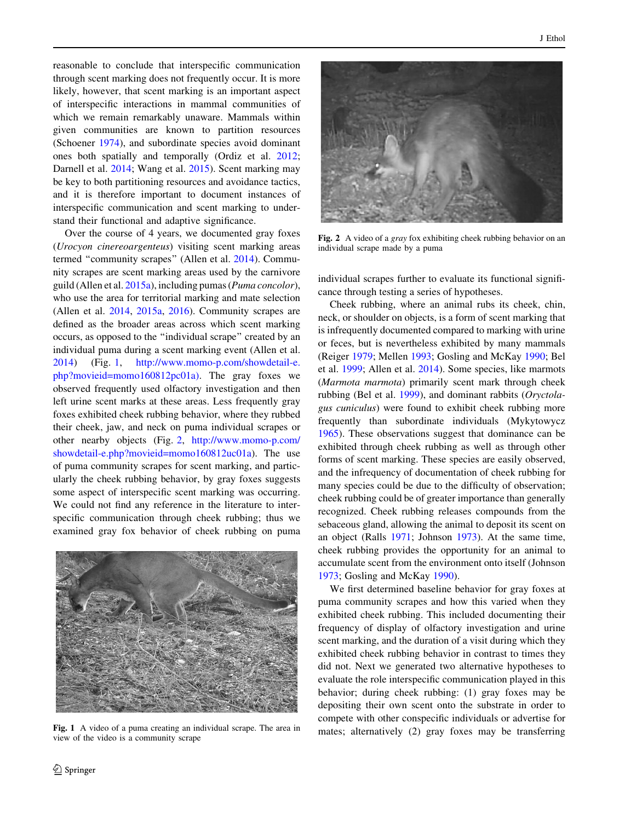reasonable to conclude that interspecific communication through scent marking does not frequently occur. It is more likely, however, that scent marking is an important aspect of interspecific interactions in mammal communities of which we remain remarkably unaware. Mammals within given communities are known to partition resources (Schoener [1974](#page-6-0)), and subordinate species avoid dominant ones both spatially and temporally (Ordiz et al. [2012](#page-6-0); Darnell et al. [2014;](#page-6-0) Wang et al. [2015\)](#page-6-0). Scent marking may be key to both partitioning resources and avoidance tactics, and it is therefore important to document instances of interspecific communication and scent marking to understand their functional and adaptive significance.

Over the course of 4 years, we documented gray foxes (Urocyon cinereoargenteus) visiting scent marking areas termed "community scrapes" (Allen et al. [2014\)](#page-6-0). Community scrapes are scent marking areas used by the carnivore guild (Allen et al. [2015a](#page-6-0)), including pumas (Puma concolor), who use the area for territorial marking and mate selection (Allen et al. [2014](#page-6-0), [2015a,](#page-6-0) [2016](#page-6-0)). Community scrapes are defined as the broader areas across which scent marking occurs, as opposed to the ''individual scrape'' created by an individual puma during a scent marking event (Allen et al. [2014\)](#page-6-0) (Fig. 1, [http://www.momo-p.com/showdetail-e.](http://www.momo-p.com/showdetail-e.php%3fmovieid%3dmomo160812pc01a)) [php?movieid=momo160812pc01a\).](http://www.momo-p.com/showdetail-e.php%3fmovieid%3dmomo160812pc01a)) The gray foxes we observed frequently used olfactory investigation and then left urine scent marks at these areas. Less frequently gray foxes exhibited cheek rubbing behavior, where they rubbed their cheek, jaw, and neck on puma individual scrapes or other nearby objects (Fig. 2, [http://www.momo-p.com/](http://www.momo-p.com/showdetail-e.php%3fmovieid%3dmomo160812uc01a) [showdetail-e.php?movieid=momo160812uc01a](http://www.momo-p.com/showdetail-e.php%3fmovieid%3dmomo160812uc01a)). The use of puma community scrapes for scent marking, and particularly the cheek rubbing behavior, by gray foxes suggests some aspect of interspecific scent marking was occurring. We could not find any reference in the literature to interspecific communication through cheek rubbing; thus we examined gray fox behavior of cheek rubbing on puma



view of the video is a community scrape



Fig. 2 A video of a *gray* fox exhibiting cheek rubbing behavior on an individual scrape made by a puma

individual scrapes further to evaluate its functional significance through testing a series of hypotheses.

Cheek rubbing, where an animal rubs its cheek, chin, neck, or shoulder on objects, is a form of scent marking that is infrequently documented compared to marking with urine or feces, but is nevertheless exhibited by many mammals (Reiger [1979;](#page-6-0) Mellen [1993](#page-6-0); Gosling and McKay [1990;](#page-6-0) Bel et al. [1999;](#page-6-0) Allen et al. [2014\)](#page-6-0). Some species, like marmots (Marmota marmota) primarily scent mark through cheek rubbing (Bel et al. [1999](#page-6-0)), and dominant rabbits (Oryctolagus cuniculus) were found to exhibit cheek rubbing more frequently than subordinate individuals (Mykytowycz [1965](#page-6-0)). These observations suggest that dominance can be exhibited through cheek rubbing as well as through other forms of scent marking. These species are easily observed, and the infrequency of documentation of cheek rubbing for many species could be due to the difficulty of observation; cheek rubbing could be of greater importance than generally recognized. Cheek rubbing releases compounds from the sebaceous gland, allowing the animal to deposit its scent on an object (Ralls [1971;](#page-6-0) Johnson [1973](#page-6-0)). At the same time, cheek rubbing provides the opportunity for an animal to accumulate scent from the environment onto itself (Johnson [1973](#page-6-0); Gosling and McKay [1990\)](#page-6-0).

We first determined baseline behavior for gray foxes at puma community scrapes and how this varied when they exhibited cheek rubbing. This included documenting their frequency of display of olfactory investigation and urine scent marking, and the duration of a visit during which they exhibited cheek rubbing behavior in contrast to times they did not. Next we generated two alternative hypotheses to evaluate the role interspecific communication played in this behavior; during cheek rubbing: (1) gray foxes may be depositing their own scent onto the substrate in order to compete with other conspecific individuals or advertise for Fig. 1 A video of a puma creating an individual scrape. The area in mates; alternatively  $(2)$  gray foxes may be transferring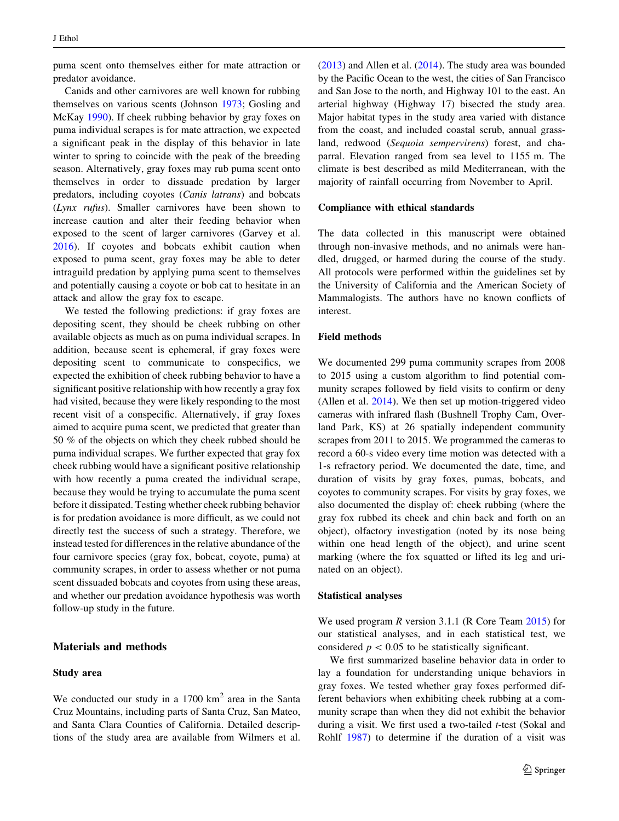puma scent onto themselves either for mate attraction or predator avoidance.

Canids and other carnivores are well known for rubbing themselves on various scents (Johnson [1973](#page-6-0); Gosling and McKay [1990\)](#page-6-0). If cheek rubbing behavior by gray foxes on puma individual scrapes is for mate attraction, we expected a significant peak in the display of this behavior in late winter to spring to coincide with the peak of the breeding season. Alternatively, gray foxes may rub puma scent onto themselves in order to dissuade predation by larger predators, including coyotes (Canis latrans) and bobcats (Lynx rufus). Smaller carnivores have been shown to increase caution and alter their feeding behavior when exposed to the scent of larger carnivores (Garvey et al. [2016\)](#page-6-0). If coyotes and bobcats exhibit caution when exposed to puma scent, gray foxes may be able to deter intraguild predation by applying puma scent to themselves and potentially causing a coyote or bob cat to hesitate in an attack and allow the gray fox to escape.

We tested the following predictions: if gray foxes are depositing scent, they should be cheek rubbing on other available objects as much as on puma individual scrapes. In addition, because scent is ephemeral, if gray foxes were depositing scent to communicate to conspecifics, we expected the exhibition of cheek rubbing behavior to have a significant positive relationship with how recently a gray fox had visited, because they were likely responding to the most recent visit of a conspecific. Alternatively, if gray foxes aimed to acquire puma scent, we predicted that greater than 50 % of the objects on which they cheek rubbed should be puma individual scrapes. We further expected that gray fox cheek rubbing would have a significant positive relationship with how recently a puma created the individual scrape, because they would be trying to accumulate the puma scent before it dissipated. Testing whether cheek rubbing behavior is for predation avoidance is more difficult, as we could not directly test the success of such a strategy. Therefore, we instead tested for differences in the relative abundance of the four carnivore species (gray fox, bobcat, coyote, puma) at community scrapes, in order to assess whether or not puma scent dissuaded bobcats and coyotes from using these areas, and whether our predation avoidance hypothesis was worth follow-up study in the future.

## Materials and methods

#### Study area

We conducted our study in a  $1700 \text{ km}^2$  area in the Santa Cruz Mountains, including parts of Santa Cruz, San Mateo, and Santa Clara Counties of California. Detailed descriptions of the study area are available from Wilmers et al. [\(2013](#page-6-0)) and Allen et al. [\(2014](#page-6-0)). The study area was bounded by the Pacific Ocean to the west, the cities of San Francisco and San Jose to the north, and Highway 101 to the east. An arterial highway (Highway 17) bisected the study area. Major habitat types in the study area varied with distance from the coast, and included coastal scrub, annual grassland, redwood (Sequoia sempervirens) forest, and chaparral. Elevation ranged from sea level to 1155 m. The climate is best described as mild Mediterranean, with the majority of rainfall occurring from November to April.

#### Compliance with ethical standards

The data collected in this manuscript were obtained through non-invasive methods, and no animals were handled, drugged, or harmed during the course of the study. All protocols were performed within the guidelines set by the University of California and the American Society of Mammalogists. The authors have no known conflicts of interest.

### Field methods

We documented 299 puma community scrapes from 2008 to 2015 using a custom algorithm to find potential community scrapes followed by field visits to confirm or deny (Allen et al. [2014\)](#page-6-0). We then set up motion-triggered video cameras with infrared flash (Bushnell Trophy Cam, Overland Park, KS) at 26 spatially independent community scrapes from 2011 to 2015. We programmed the cameras to record a 60-s video every time motion was detected with a 1-s refractory period. We documented the date, time, and duration of visits by gray foxes, pumas, bobcats, and coyotes to community scrapes. For visits by gray foxes, we also documented the display of: cheek rubbing (where the gray fox rubbed its cheek and chin back and forth on an object), olfactory investigation (noted by its nose being within one head length of the object), and urine scent marking (where the fox squatted or lifted its leg and urinated on an object).

#### Statistical analyses

We used program R version 3.1.1 (R Core Team [2015](#page-6-0)) for our statistical analyses, and in each statistical test, we considered  $p < 0.05$  to be statistically significant.

We first summarized baseline behavior data in order to lay a foundation for understanding unique behaviors in gray foxes. We tested whether gray foxes performed different behaviors when exhibiting cheek rubbing at a community scrape than when they did not exhibit the behavior during a visit. We first used a two-tailed *t*-test (Sokal and Rohlf [1987\)](#page-6-0) to determine if the duration of a visit was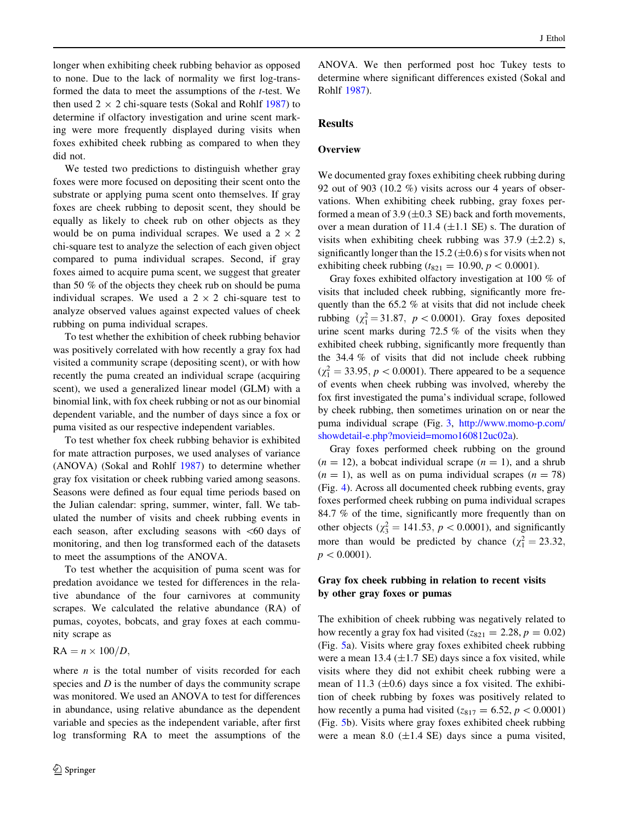longer when exhibiting cheek rubbing behavior as opposed to none. Due to the lack of normality we first log-transformed the data to meet the assumptions of the t-test. We then used  $2 \times 2$  chi-square tests (Sokal and Rohlf [1987](#page-6-0)) to determine if olfactory investigation and urine scent marking were more frequently displayed during visits when foxes exhibited cheek rubbing as compared to when they did not.

We tested two predictions to distinguish whether gray foxes were more focused on depositing their scent onto the substrate or applying puma scent onto themselves. If gray foxes are cheek rubbing to deposit scent, they should be equally as likely to cheek rub on other objects as they would be on puma individual scrapes. We used a  $2 \times 2$ chi-square test to analyze the selection of each given object compared to puma individual scrapes. Second, if gray foxes aimed to acquire puma scent, we suggest that greater than 50 % of the objects they cheek rub on should be puma individual scrapes. We used a  $2 \times 2$  chi-square test to analyze observed values against expected values of cheek rubbing on puma individual scrapes.

To test whether the exhibition of cheek rubbing behavior was positively correlated with how recently a gray fox had visited a community scrape (depositing scent), or with how recently the puma created an individual scrape (acquiring scent), we used a generalized linear model (GLM) with a binomial link, with fox cheek rubbing or not as our binomial dependent variable, and the number of days since a fox or puma visited as our respective independent variables.

To test whether fox cheek rubbing behavior is exhibited for mate attraction purposes, we used analyses of variance (ANOVA) (Sokal and Rohlf [1987](#page-6-0)) to determine whether gray fox visitation or cheek rubbing varied among seasons. Seasons were defined as four equal time periods based on the Julian calendar: spring, summer, winter, fall. We tabulated the number of visits and cheek rubbing events in each season, after excluding seasons with  $\leq 60$  days of monitoring, and then log transformed each of the datasets to meet the assumptions of the ANOVA.

To test whether the acquisition of puma scent was for predation avoidance we tested for differences in the relative abundance of the four carnivores at community scrapes. We calculated the relative abundance (RA) of pumas, coyotes, bobcats, and gray foxes at each community scrape as

$$
RA = n \times 100/D,
$$

where  $n$  is the total number of visits recorded for each species and  $D$  is the number of days the community scrape was monitored. We used an ANOVA to test for differences in abundance, using relative abundance as the dependent variable and species as the independent variable, after first log transforming RA to meet the assumptions of the

ANOVA. We then performed post hoc Tukey tests to determine where significant differences existed (Sokal and Rohlf [1987](#page-6-0)).

## **Results**

#### **Overview**

We documented gray foxes exhibiting cheek rubbing during 92 out of 903 (10.2 %) visits across our 4 years of observations. When exhibiting cheek rubbing, gray foxes performed a mean of 3.9 ( $\pm$ 0.3 SE) back and forth movements, over a mean duration of 11.4  $(\pm 1.1 \text{ SE})$  s. The duration of visits when exhibiting cheek rubbing was  $37.9$  ( $\pm$ 2.2) s, significantly longer than the 15.2 ( $\pm$ 0.6) s for visits when not exhibiting cheek rubbing ( $t_{821} = 10.90, p \lt 0.0001$ ).

Gray foxes exhibited olfactory investigation at 100 % of visits that included cheek rubbing, significantly more frequently than the 65.2 % at visits that did not include cheek rubbing  $(\chi_1^2 = 31.87, p < 0.0001)$ . Gray foxes deposited urine scent marks during 72.5 % of the visits when they exhibited cheek rubbing, significantly more frequently than the 34.4 % of visits that did not include cheek rubbing  $(\chi_1^2 = 33.95, p < 0.0001)$ . There appeared to be a sequence of events when cheek rubbing was involved, whereby the fox first investigated the puma's individual scrape, followed by cheek rubbing, then sometimes urination on or near the puma individual scrape (Fig. [3](#page-4-0), [http://www.momo-p.com/](http://www.momo-p.com/showdetail-e.php%3fmovieid%3dmomo160812uc02a) [showdetail-e.php?movieid=momo160812uc02a](http://www.momo-p.com/showdetail-e.php%3fmovieid%3dmomo160812uc02a)).

Gray foxes performed cheek rubbing on the ground  $(n = 12)$ , a bobcat individual scrape  $(n = 1)$ , and a shrub  $(n = 1)$ , as well as on puma individual scrapes  $(n = 78)$ (Fig. [4\)](#page-4-0). Across all documented cheek rubbing events, gray foxes performed cheek rubbing on puma individual scrapes 84.7 % of the time, significantly more frequently than on other objects ( $\chi_3^2 = 141.53$ ,  $p < 0.0001$ ), and significantly more than would be predicted by chance  $(\chi_1^2 = 23.32,$  $p<0.0001$ ).

## Gray fox cheek rubbing in relation to recent visits by other gray foxes or pumas

The exhibition of cheek rubbing was negatively related to how recently a gray fox had visited ( $z_{821} = 2.28$ ,  $p = 0.02$ ) (Fig. [5a](#page-4-0)). Visits where gray foxes exhibited cheek rubbing were a mean 13.4  $(\pm 1.7 \text{ SE})$  days since a fox visited, while visits where they did not exhibit cheek rubbing were a mean of 11.3 ( $\pm$ 0.6) days since a fox visited. The exhibition of cheek rubbing by foxes was positively related to how recently a puma had visited ( $z_{817} = 6.52$ ,  $p < 0.0001$ ) (Fig. [5b](#page-4-0)). Visits where gray foxes exhibited cheek rubbing were a mean 8.0  $(\pm 1.4$  SE) days since a puma visited,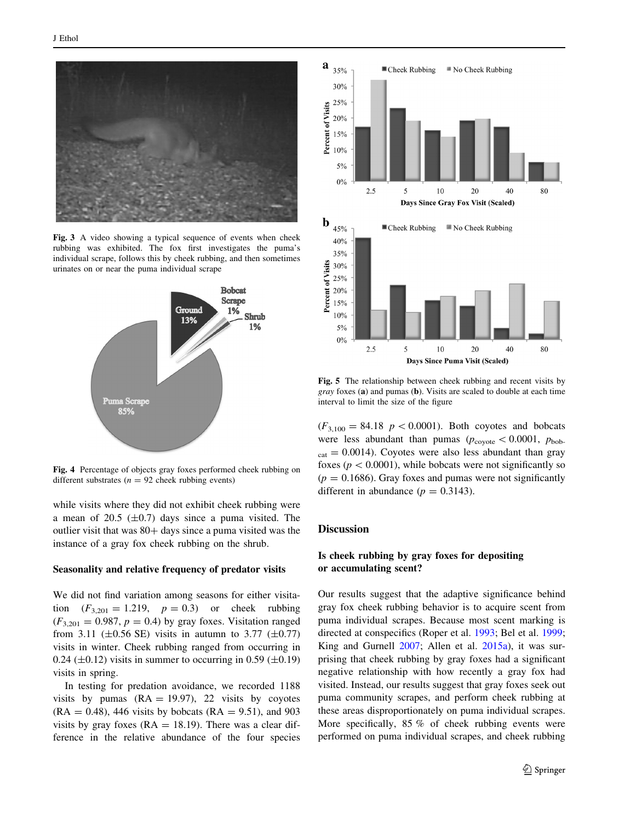<span id="page-4-0"></span>

Fig. 3 A video showing a typical sequence of events when cheek rubbing was exhibited. The fox first investigates the puma's individual scrape, follows this by cheek rubbing, and then sometimes urinates on or near the puma individual scrape



Fig. 4 Percentage of objects gray foxes performed cheek rubbing on different substrates ( $n = 92$  cheek rubbing events)

while visits where they did not exhibit cheek rubbing were a mean of 20.5  $(\pm 0.7)$  days since a puma visited. The outlier visit that was  $80+$  days since a puma visited was the instance of a gray fox cheek rubbing on the shrub.

#### Seasonality and relative frequency of predator visits

We did not find variation among seasons for either visitation  $(F_{3,201} = 1.219, p = 0.3)$  or cheek rubbing  $(F_{3,201} = 0.987, p = 0.4)$  by gray foxes. Visitation ranged from 3.11 ( $\pm$ 0.56 SE) visits in autumn to 3.77 ( $\pm$ 0.77) visits in winter. Cheek rubbing ranged from occurring in 0.24 ( $\pm$ 0.12) visits in summer to occurring in 0.59 ( $\pm$ 0.19) visits in spring.

In testing for predation avoidance, we recorded 1188 visits by pumas  $(RA = 19.97)$ , 22 visits by coyotes  $(RA = 0.48)$ , 446 visits by bobcats  $(RA = 9.51)$ , and 903 visits by gray foxes  $(RA = 18.19)$ . There was a clear difference in the relative abundance of the four species



Fig. 5 The relationship between cheek rubbing and recent visits by gray foxes (a) and pumas (b). Visits are scaled to double at each time interval to limit the size of the figure

 $(F_{3,100} = 84.18 \, p < 0.0001)$ . Both coyotes and bobcats were less abundant than pumas ( $p_{\text{covote}} < 0.0001$ ,  $p_{\text{bob}}$ - $_{\text{cat}} = 0.0014$ ). Coyotes were also less abundant than gray foxes ( $p < 0.0001$ ), while bobcats were not significantly so  $(p = 0.1686)$ . Gray foxes and pumas were not significantly different in abundance ( $p = 0.3143$ ).

#### **Discussion**

## Is cheek rubbing by gray foxes for depositing or accumulating scent?

Our results suggest that the adaptive significance behind gray fox cheek rubbing behavior is to acquire scent from puma individual scrapes. Because most scent marking is directed at conspecifics (Roper et al. [1993](#page-6-0); Bel et al. [1999](#page-6-0); King and Gurnell [2007](#page-6-0); Allen et al. [2015a\)](#page-6-0), it was surprising that cheek rubbing by gray foxes had a significant negative relationship with how recently a gray fox had visited. Instead, our results suggest that gray foxes seek out puma community scrapes, and perform cheek rubbing at these areas disproportionately on puma individual scrapes. More specifically, 85 % of cheek rubbing events were performed on puma individual scrapes, and cheek rubbing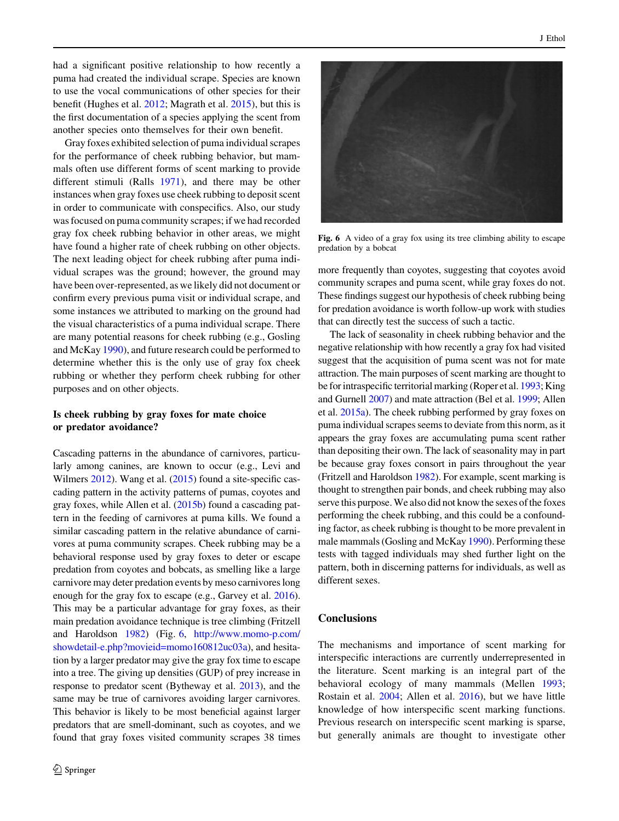had a significant positive relationship to how recently a puma had created the individual scrape. Species are known to use the vocal communications of other species for their benefit (Hughes et al. [2012;](#page-6-0) Magrath et al. [2015](#page-6-0)), but this is the first documentation of a species applying the scent from another species onto themselves for their own benefit.

Gray foxes exhibited selection of puma individual scrapes for the performance of cheek rubbing behavior, but mammals often use different forms of scent marking to provide different stimuli (Ralls [1971\)](#page-6-0), and there may be other instances when gray foxes use cheek rubbing to deposit scent in order to communicate with conspecifics. Also, our study was focused on puma community scrapes; if we had recorded gray fox cheek rubbing behavior in other areas, we might have found a higher rate of cheek rubbing on other objects. The next leading object for cheek rubbing after puma individual scrapes was the ground; however, the ground may have been over-represented, as we likely did not document or confirm every previous puma visit or individual scrape, and some instances we attributed to marking on the ground had the visual characteristics of a puma individual scrape. There are many potential reasons for cheek rubbing (e.g., Gosling and McKay [1990\)](#page-6-0), and future research could be performed to determine whether this is the only use of gray fox cheek rubbing or whether they perform cheek rubbing for other purposes and on other objects.

## Is cheek rubbing by gray foxes for mate choice or predator avoidance?

Cascading patterns in the abundance of carnivores, particularly among canines, are known to occur (e.g., Levi and Wilmers [2012](#page-6-0)). Wang et al. [\(2015\)](#page-6-0) found a site-specific cascading pattern in the activity patterns of pumas, coyotes and gray foxes, while Allen et al. [\(2015b\)](#page-6-0) found a cascading pattern in the feeding of carnivores at puma kills. We found a similar cascading pattern in the relative abundance of carnivores at puma community scrapes. Cheek rubbing may be a behavioral response used by gray foxes to deter or escape predation from coyotes and bobcats, as smelling like a large carnivore may deter predation events by meso carnivores long enough for the gray fox to escape (e.g., Garvey et al. [2016](#page-6-0)). This may be a particular advantage for gray foxes, as their main predation avoidance technique is tree climbing (Fritzell and Haroldson [1982\)](#page-6-0) (Fig. 6, [http://www.momo-p.com/](http://www.momo-p.com/showdetail-e.php%3fmovieid%3dmomo160812uc03a) [showdetail-e.php?movieid=momo160812uc03a](http://www.momo-p.com/showdetail-e.php%3fmovieid%3dmomo160812uc03a)), and hesitation by a larger predator may give the gray fox time to escape into a tree. The giving up densities (GUP) of prey increase in response to predator scent (Bytheway et al. [2013](#page-6-0)), and the same may be true of carnivores avoiding larger carnivores. This behavior is likely to be most beneficial against larger predators that are smell-dominant, such as coyotes, and we found that gray foxes visited community scrapes 38 times



Fig. 6 A video of a gray fox using its tree climbing ability to escape predation by a bobcat

more frequently than coyotes, suggesting that coyotes avoid community scrapes and puma scent, while gray foxes do not. These findings suggest our hypothesis of cheek rubbing being for predation avoidance is worth follow-up work with studies that can directly test the success of such a tactic.

The lack of seasonality in cheek rubbing behavior and the negative relationship with how recently a gray fox had visited suggest that the acquisition of puma scent was not for mate attraction. The main purposes of scent marking are thought to be for intraspecific territorial marking (Roper et al. [1993](#page-6-0); King and Gurnell [2007](#page-6-0)) and mate attraction (Bel et al. [1999](#page-6-0); Allen et al. [2015a](#page-6-0)). The cheek rubbing performed by gray foxes on puma individual scrapes seems to deviate from this norm, as it appears the gray foxes are accumulating puma scent rather than depositing their own. The lack of seasonality may in part be because gray foxes consort in pairs throughout the year (Fritzell and Haroldson [1982\)](#page-6-0). For example, scent marking is thought to strengthen pair bonds, and cheek rubbing may also serve this purpose.We also did not know the sexes of the foxes performing the cheek rubbing, and this could be a confounding factor, as cheek rubbing is thought to be more prevalent in male mammals (Gosling and McKay [1990](#page-6-0)). Performing these tests with tagged individuals may shed further light on the pattern, both in discerning patterns for individuals, as well as different sexes.

## **Conclusions**

The mechanisms and importance of scent marking for interspecific interactions are currently underrepresented in the literature. Scent marking is an integral part of the behavioral ecology of many mammals (Mellen [1993](#page-6-0); Rostain et al. [2004;](#page-6-0) Allen et al. [2016\)](#page-6-0), but we have little knowledge of how interspecific scent marking functions. Previous research on interspecific scent marking is sparse, but generally animals are thought to investigate other